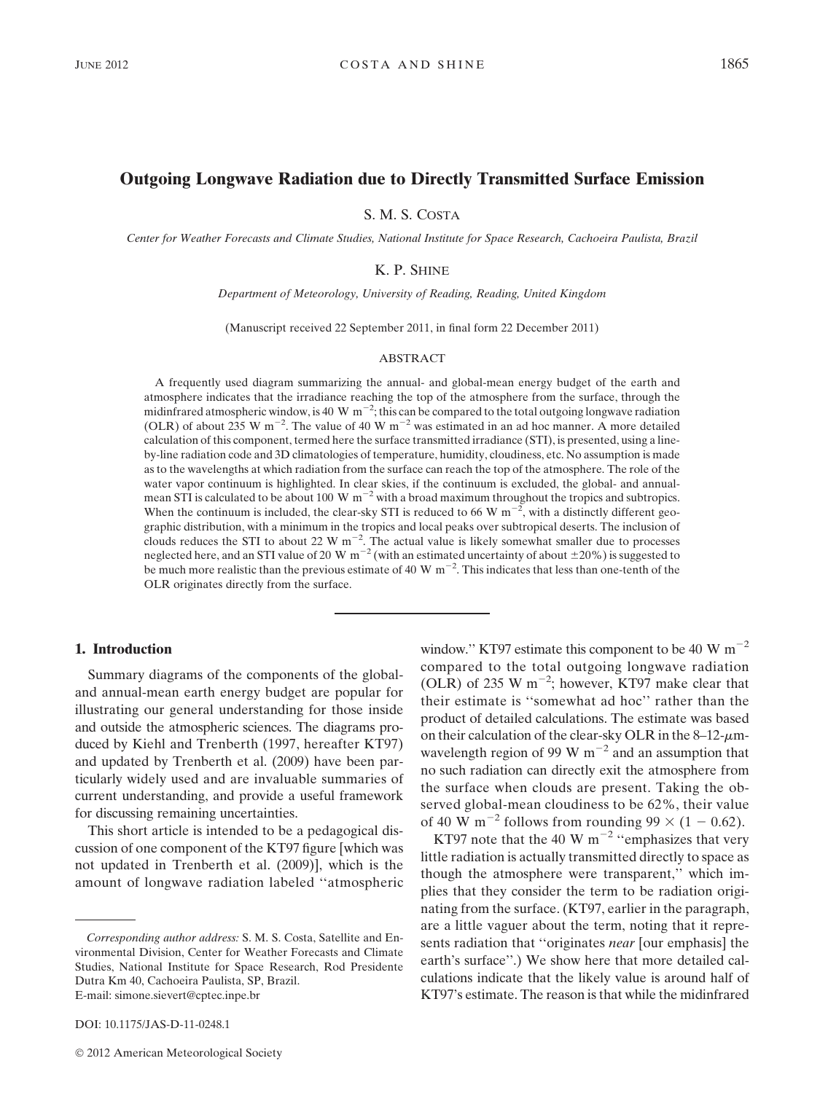# Outgoing Longwave Radiation due to Directly Transmitted Surface Emission

S. M. S. COSTA

Center for Weather Forecasts and Climate Studies, National Institute for Space Research, Cachoeira Paulista, Brazil

# K. P. SHINE

Department of Meteorology, University of Reading, Reading, United Kingdom

(Manuscript received 22 September 2011, in final form 22 December 2011)

### ABSTRACT

A frequently used diagram summarizing the annual- and global-mean energy budget of the earth and atmosphere indicates that the irradiance reaching the top of the atmosphere from the surface, through the midinfrared atmospheric window, is 40 W m<sup>-2</sup>; this can be compared to the total outgoing longwave radiation (OLR) of about 235 W m<sup>-2</sup>. The value of 40 W m<sup>-2</sup> was estimated in an ad hoc manner. A more detailed calculation of this component, termed here the surface transmitted irradiance (STI), is presented, using a lineby-line radiation code and 3D climatologies of temperature, humidity, cloudiness, etc. No assumption is made as to the wavelengths at which radiation from the surface can reach the top of the atmosphere. The role of the water vapor continuum is highlighted. In clear skies, if the continuum is excluded, the global- and annualmean STI is calculated to be about 100 W  $m^{-2}$  with a broad maximum throughout the tropics and subtropics. When the continuum is included, the clear-sky STI is reduced to 66 W  $m^{-2}$ , with a distinctly different geographic distribution, with a minimum in the tropics and local peaks over subtropical deserts. The inclusion of clouds reduces the STI to about 22 W  $m^{-2}$ . The actual value is likely somewhat smaller due to processes neglected here, and an STI value of 20 W m<sup>-2</sup> (with an estimated uncertainty of about  $\pm 20\%$ ) is suggested to be much more realistic than the previous estimate of 40 W  $\mathrm{m}^{-2}$ . This indicates that less than one-tenth of the OLR originates directly from the surface.

# 1. Introduction

Summary diagrams of the components of the globaland annual-mean earth energy budget are popular for illustrating our general understanding for those inside and outside the atmospheric sciences. The diagrams produced by Kiehl and Trenberth (1997, hereafter KT97) and updated by Trenberth et al. (2009) have been particularly widely used and are invaluable summaries of current understanding, and provide a useful framework for discussing remaining uncertainties.

This short article is intended to be a pedagogical discussion of one component of the KT97 figure [which was not updated in Trenberth et al. (2009)], which is the amount of longwave radiation labeled ''atmospheric

DOI: 10.1175/JAS-D-11-0248.1

window." KT97 estimate this component to be 40 W  $m^{-2}$ compared to the total outgoing longwave radiation (OLR) of 235 W m<sup>-2</sup>; however, KT97 make clear that their estimate is ''somewhat ad hoc'' rather than the product of detailed calculations. The estimate was based on their calculation of the clear-sky OLR in the 8-12- $\mu$ mwavelength region of 99 W  $m^{-2}$  and an assumption that no such radiation can directly exit the atmosphere from the surface when clouds are present. Taking the observed global-mean cloudiness to be 62%, their value of 40 W m<sup>-2</sup> follows from rounding 99  $\times$  (1 - 0.62).

KT97 note that the 40 W  $m^{-2}$  "emphasizes that very little radiation is actually transmitted directly to space as though the atmosphere were transparent,'' which implies that they consider the term to be radiation originating from the surface. (KT97, earlier in the paragraph, are a little vaguer about the term, noting that it represents radiation that "originates *near* [our emphasis] the earth's surface''.) We show here that more detailed calculations indicate that the likely value is around half of KT97's estimate. The reason is that while the midinfrared

Corresponding author address: S. M. S. Costa, Satellite and Environmental Division, Center for Weather Forecasts and Climate Studies, National Institute for Space Research, Rod Presidente Dutra Km 40, Cachoeira Paulista, SP, Brazil. E-mail: simone.sievert@cptec.inpe.br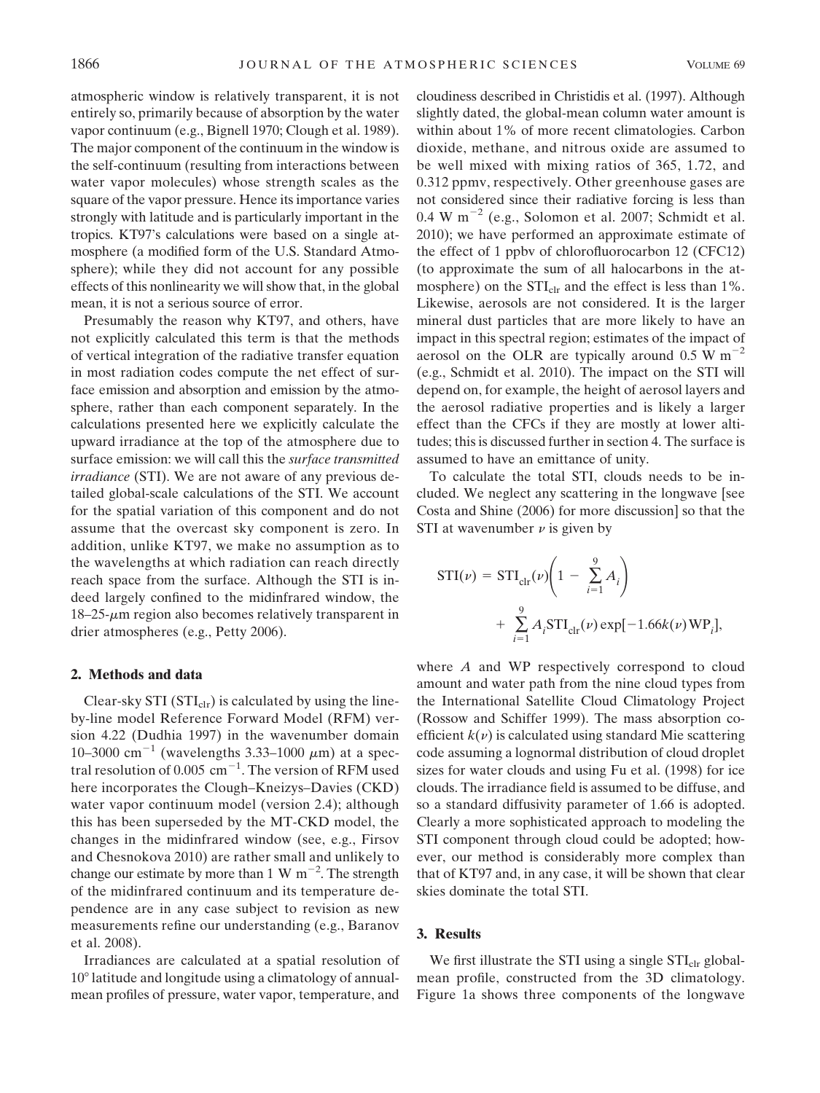atmospheric window is relatively transparent, it is not entirely so, primarily because of absorption by the water vapor continuum (e.g., Bignell 1970; Clough et al. 1989). The major component of the continuum in the window is the self-continuum (resulting from interactions between water vapor molecules) whose strength scales as the square of the vapor pressure. Hence its importance varies strongly with latitude and is particularly important in the tropics. KT97's calculations were based on a single atmosphere (a modified form of the U.S. Standard Atmosphere); while they did not account for any possible effects of this nonlinearity we will show that, in the global mean, it is not a serious source of error.

Presumably the reason why KT97, and others, have not explicitly calculated this term is that the methods of vertical integration of the radiative transfer equation in most radiation codes compute the net effect of surface emission and absorption and emission by the atmosphere, rather than each component separately. In the calculations presented here we explicitly calculate the upward irradiance at the top of the atmosphere due to surface emission: we will call this the *surface transmitted irradiance* (STI). We are not aware of any previous detailed global-scale calculations of the STI. We account for the spatial variation of this component and do not assume that the overcast sky component is zero. In addition, unlike KT97, we make no assumption as to the wavelengths at which radiation can reach directly reach space from the surface. Although the STI is indeed largely confined to the midinfrared window, the  $18-25$ - $\mu$ m region also becomes relatively transparent in drier atmospheres (e.g., Petty 2006).

## 2. Methods and data

Clear-sky STI  $(STI_{\text{clr}})$  is calculated by using the lineby-line model Reference Forward Model (RFM) version 4.22 (Dudhia 1997) in the wavenumber domain 10–3000 cm<sup>-1</sup> (wavelengths 3.33–1000  $\mu$ m) at a spectral resolution of 0.005  $cm^{-1}$ . The version of RFM used here incorporates the Clough–Kneizys–Davies (CKD) water vapor continuum model (version 2.4); although this has been superseded by the MT-CKD model, the changes in the midinfrared window (see, e.g., Firsov and Chesnokova 2010) are rather small and unlikely to change our estimate by more than 1 W  $\mathrm{m}^{-2}$ . The strength of the midinfrared continuum and its temperature dependence are in any case subject to revision as new measurements refine our understanding (e.g., Baranov et al. 2008).

Irradiances are calculated at a spatial resolution of  $10^{\circ}$  latitude and longitude using a climatology of annualmean profiles of pressure, water vapor, temperature, and

cloudiness described in Christidis et al. (1997). Although slightly dated, the global-mean column water amount is within about 1% of more recent climatologies. Carbon dioxide, methane, and nitrous oxide are assumed to be well mixed with mixing ratios of 365, 1.72, and 0.312 ppmv, respectively. Other greenhouse gases are not considered since their radiative forcing is less than  $0.4 \text{ W m}^{-2}$  (e.g., Solomon et al. 2007; Schmidt et al. 2010); we have performed an approximate estimate of the effect of 1 ppbv of chlorofluorocarbon 12 (CFC12) (to approximate the sum of all halocarbons in the atmosphere) on the  $STI_{\text{clr}}$  and the effect is less than 1%. Likewise, aerosols are not considered. It is the larger mineral dust particles that are more likely to have an impact in this spectral region; estimates of the impact of aerosol on the OLR are typically around  $0.5 \text{ W m}^{-2}$ (e.g., Schmidt et al. 2010). The impact on the STI will depend on, for example, the height of aerosol layers and the aerosol radiative properties and is likely a larger effect than the CFCs if they are mostly at lower altitudes; this is discussed further in section 4. The surface is assumed to have an emittance of unity.

To calculate the total STI, clouds needs to be included. We neglect any scattering in the longwave [see Costa and Shine (2006) for more discussion] so that the STI at wavenumber  $\nu$  is given by

$$
STI(\nu) = STI_{\text{clr}}(\nu) \left( 1 - \sum_{i=1}^{9} A_i \right)
$$

$$
+ \sum_{i=1}^{9} A_i STI_{\text{clr}}(\nu) \exp[-1.66k(\nu) \text{WP}_i],
$$

where A and WP respectively correspond to cloud amount and water path from the nine cloud types from the International Satellite Cloud Climatology Project (Rossow and Schiffer 1999). The mass absorption coefficient  $k(v)$  is calculated using standard Mie scattering code assuming a lognormal distribution of cloud droplet sizes for water clouds and using Fu et al. (1998) for ice clouds. The irradiance field is assumed to be diffuse, and so a standard diffusivity parameter of 1.66 is adopted. Clearly a more sophisticated approach to modeling the STI component through cloud could be adopted; however, our method is considerably more complex than that of KT97 and, in any case, it will be shown that clear skies dominate the total STI.

## 3. Results

We first illustrate the STI using a single STI<sub>clr</sub> globalmean profile, constructed from the 3D climatology. Figure 1a shows three components of the longwave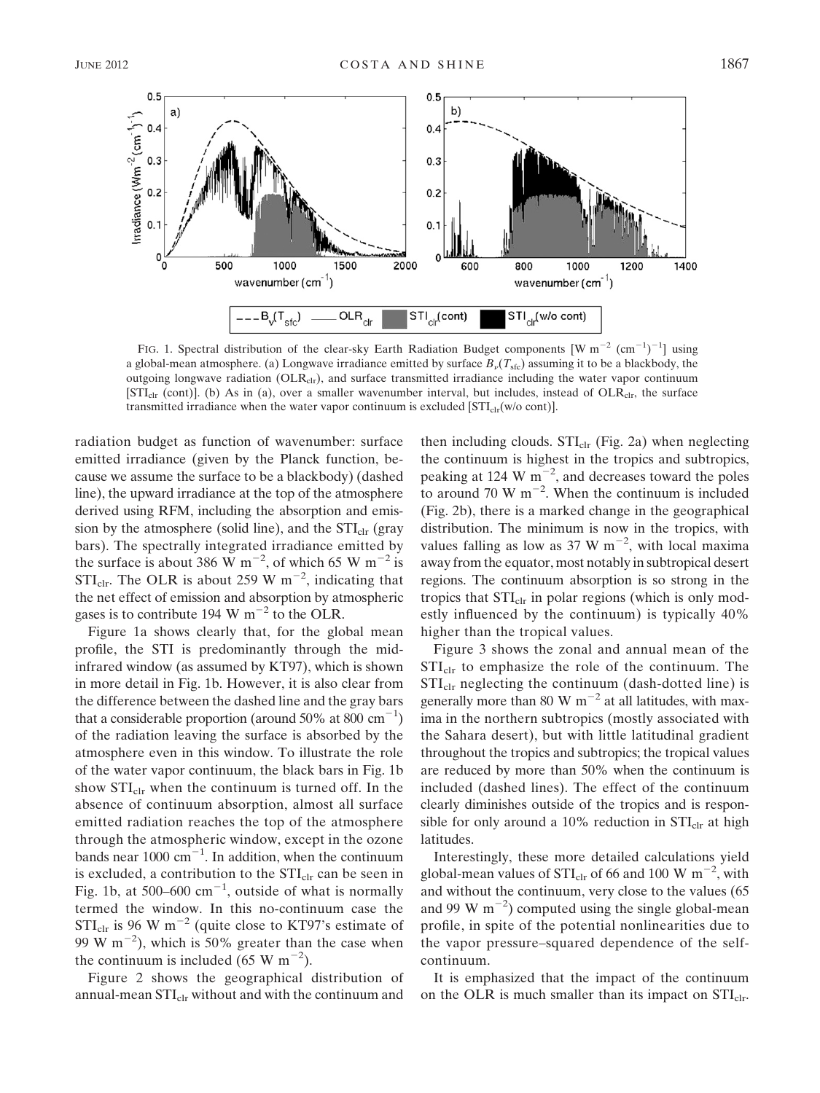

FIG. 1. Spectral distribution of the clear-sky Earth Radiation Budget components  $\left[W \, m^{-2} \, (cm^{-1})^{-1}\right]$  using a global-mean atmosphere. (a) Longwave irradiance emitted by surface  $B_\nu(T_{\text{stc}})$  assuming it to be a blackbody, the outgoing longwave radiation ( $OLR_{\text{clr}}$ ), and surface transmitted irradiance including the water vapor continuum  $[STI_{\text{clr}}$  (cont)]. (b) As in (a), over a smaller wavenumber interval, but includes, instead of  $OLR_{\text{clr}}$ , the surface transmitted irradiance when the water vapor continuum is excluded  $STI_{\text{clr}}(w/o \text{ cont})$ .

radiation budget as function of wavenumber: surface emitted irradiance (given by the Planck function, because we assume the surface to be a blackbody) (dashed line), the upward irradiance at the top of the atmosphere derived using RFM, including the absorption and emission by the atmosphere (solid line), and the  $STI_{\text{clr}}$  (gray bars). The spectrally integrated irradiance emitted by the surface is about 386 W m<sup>-2</sup>, of which 65 W m<sup>-2</sup> is  $STI_{\text{clr}}$ . The OLR is about 259 W m<sup>-2</sup>, indicating that the net effect of emission and absorption by atmospheric gases is to contribute 194 W  $m^{-2}$  to the OLR.

Figure 1a shows clearly that, for the global mean profile, the STI is predominantly through the midinfrared window (as assumed by KT97), which is shown in more detail in Fig. 1b. However, it is also clear from the difference between the dashed line and the gray bars that a considerable proportion (around 50% at 800  $\text{cm}^{-1}$ ) of the radiation leaving the surface is absorbed by the atmosphere even in this window. To illustrate the role of the water vapor continuum, the black bars in Fig. 1b show STI<sub>clr</sub> when the continuum is turned off. In the absence of continuum absorption, almost all surface emitted radiation reaches the top of the atmosphere through the atmospheric window, except in the ozone bands near  $1000 \text{ cm}^{-1}$ . In addition, when the continuum is excluded, a contribution to the STI<sub>clr</sub> can be seen in Fig. 1b, at 500–600  $\text{cm}^{-1}$ , outside of what is normally termed the window. In this no-continuum case the  $STI_{\text{clr}}$  is 96 W m<sup>-2</sup> (quite close to KT97's estimate of 99 W m<sup> $-2$ </sup>), which is 50% greater than the case when the continuum is included (65 W m<sup>-2</sup>).

Figure 2 shows the geographical distribution of annual-mean STI<sub>clr</sub> without and with the continuum and

then including clouds.  $STI_{\text{clr}}$  (Fig. 2a) when neglecting the continuum is highest in the tropics and subtropics, peaking at 124 W  $m^{-2}$ , and decreases toward the poles to around 70 W  $m^{-2}$ . When the continuum is included (Fig. 2b), there is a marked change in the geographical distribution. The minimum is now in the tropics, with values falling as low as 37 W  $\text{m}^{-2}$ , with local maxima away from the equator, most notably in subtropical desert regions. The continuum absorption is so strong in the tropics that  $STI_{\text{clr}}$  in polar regions (which is only modestly influenced by the continuum) is typically 40% higher than the tropical values.

Figure 3 shows the zonal and annual mean of the  $STI_{\text{clr}}$  to emphasize the role of the continuum. The STI<sub>clr</sub> neglecting the continuum (dash-dotted line) is generally more than 80 W  $m^{-2}$  at all latitudes, with maxima in the northern subtropics (mostly associated with the Sahara desert), but with little latitudinal gradient throughout the tropics and subtropics; the tropical values are reduced by more than 50% when the continuum is included (dashed lines). The effect of the continuum clearly diminishes outside of the tropics and is responsible for only around a  $10\%$  reduction in  $STI_{\text{clr}}$  at high latitudes.

Interestingly, these more detailed calculations yield global-mean values of  $STI_{\text{clr}}$  of 66 and 100 W m<sup>-2</sup>, with and without the continuum, very close to the values (65 and 99 W  $m^{-2}$ ) computed using the single global-mean profile, in spite of the potential nonlinearities due to the vapor pressure–squared dependence of the selfcontinuum.

It is emphasized that the impact of the continuum on the OLR is much smaller than its impact on  $STI_{\text{clr}}$ .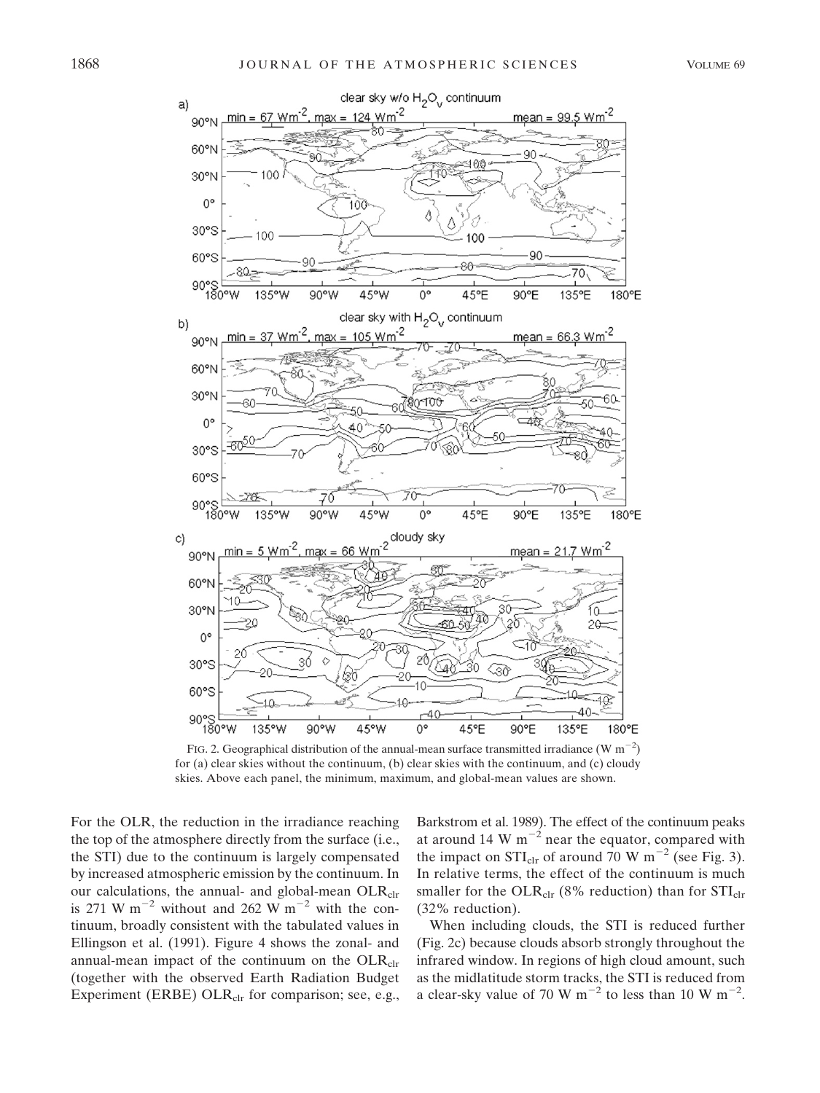

FIG. 2. Geographical distribution of the annual-mean surface transmitted irradiance (W m<sup>-2</sup>) for (a) clear skies without the continuum, (b) clear skies with the continuum, and (c) cloudy skies. Above each panel, the minimum, maximum, and global-mean values are shown.

For the OLR, the reduction in the irradiance reaching the top of the atmosphere directly from the surface (i.e., the STI) due to the continuum is largely compensated by increased atmospheric emission by the continuum. In our calculations, the annual- and global-mean OLR<sub>clr</sub> is 271 W  $m^{-2}$  without and 262 W  $m^{-2}$  with the continuum, broadly consistent with the tabulated values in Ellingson et al. (1991). Figure 4 shows the zonal- and annual-mean impact of the continuum on the  $OLR_{\text{clr}}$ (together with the observed Earth Radiation Budget Experiment (ERBE) OL $R_{\text{clr}}$  for comparison; see, e.g.,

Barkstrom et al. 1989). The effect of the continuum peaks at around 14 W  $m^{-2}$  near the equator, compared with the impact on  $STI_{\text{clr}}$  of around 70 W m<sup>-2</sup> (see Fig. 3). In relative terms, the effect of the continuum is much smaller for the  $OLR_{clr}$  (8% reduction) than for  $STI_{clr}$ (32% reduction).

When including clouds, the STI is reduced further (Fig. 2c) because clouds absorb strongly throughout the infrared window. In regions of high cloud amount, such as the midlatitude storm tracks, the STI is reduced from a clear-sky value of 70 W  $m^{-2}$  to less than 10 W  $m^{-2}$ .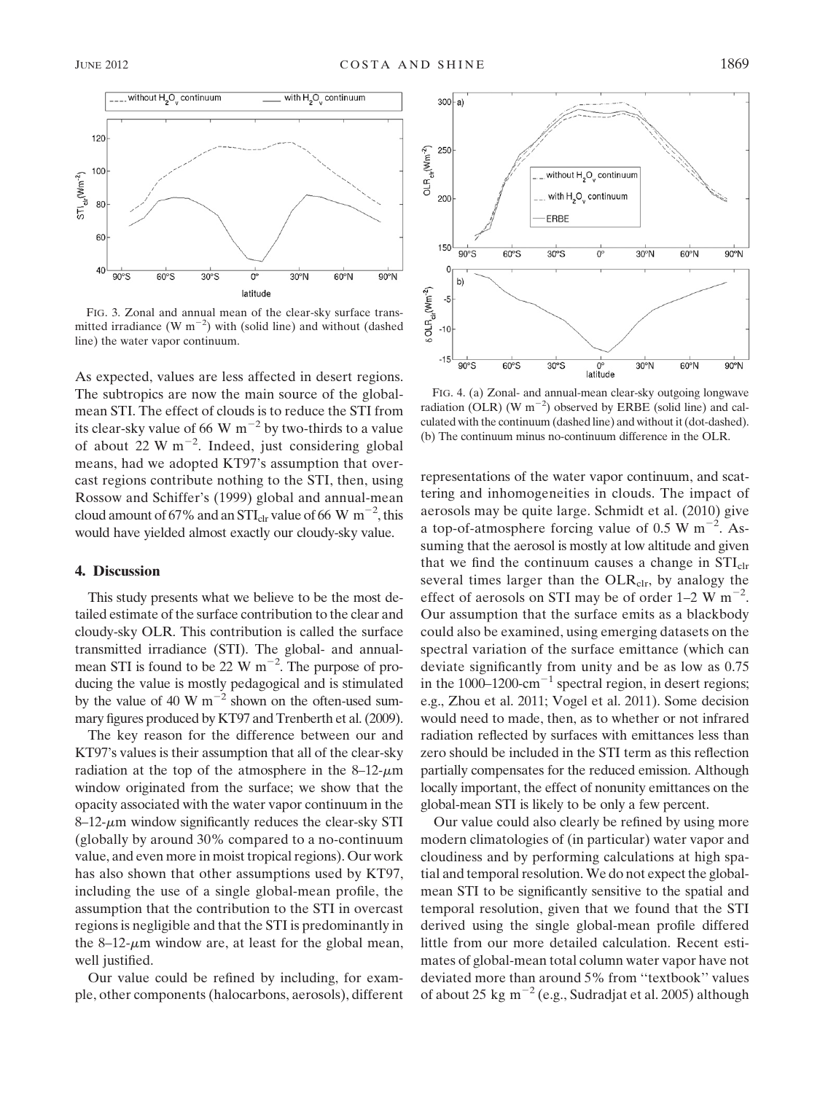

FIG. 3. Zonal and annual mean of the clear-sky surface transmitted irradiance  $(W m^{-2})$  with (solid line) and without (dashed line) the water vapor continuum.

As expected, values are less affected in desert regions. The subtropics are now the main source of the globalmean STI. The effect of clouds is to reduce the STI from its clear-sky value of 66 W  $m^{-2}$  by two-thirds to a value of about 22 W  $m^{-2}$ . Indeed, just considering global means, had we adopted KT97's assumption that overcast regions contribute nothing to the STI, then, using Rossow and Schiffer's (1999) global and annual-mean cloud amount of 67% and an STI<sub>clr</sub> value of 66 W m<sup>-2</sup>, this would have yielded almost exactly our cloudy-sky value.

# 4. Discussion

This study presents what we believe to be the most detailed estimate of the surface contribution to the clear and cloudy-sky OLR. This contribution is called the surface transmitted irradiance (STI). The global- and annualmean STI is found to be 22 W  $\text{m}^{-2}$ . The purpose of producing the value is mostly pedagogical and is stimulated by the value of 40 W  $m^{-2}$  shown on the often-used summary figures produced by KT97 and Trenberth et al. (2009).

The key reason for the difference between our and KT97's values is their assumption that all of the clear-sky radiation at the top of the atmosphere in the  $8-12-\mu m$ window originated from the surface; we show that the opacity associated with the water vapor continuum in the  $8-12$ - $\mu$ m window significantly reduces the clear-sky STI (globally by around 30% compared to a no-continuum value, and even more in moist tropical regions). Our work has also shown that other assumptions used by KT97, including the use of a single global-mean profile, the assumption that the contribution to the STI in overcast regions is negligible and that the STI is predominantly in the 8–12- $\mu$ m window are, at least for the global mean, well justified.

Our value could be refined by including, for example, other components (halocarbons, aerosols), different



FIG. 4. (a) Zonal- and annual-mean clear-sky outgoing longwave radiation (OLR) (W  $m^{-2}$ ) observed by ERBE (solid line) and calculated with the continuum (dashed line) and without it (dot-dashed). (b) The continuum minus no-continuum difference in the OLR.

representations of the water vapor continuum, and scattering and inhomogeneities in clouds. The impact of aerosols may be quite large. Schmidt et al. (2010) give a top-of-atmosphere forcing value of 0.5 W  $\text{m}^{-2}$ . Assuming that the aerosol is mostly at low altitude and given that we find the continuum causes a change in  $STI_{\text{clr}}$ several times larger than the  $OLR_{clr}$ , by analogy the effect of aerosols on STI may be of order  $1-2 \text{ W m}^{-2}$ . Our assumption that the surface emits as a blackbody could also be examined, using emerging datasets on the spectral variation of the surface emittance (which can deviate significantly from unity and be as low as 0.75 in the 1000–1200-cm<sup>-1</sup> spectral region, in desert regions; e.g., Zhou et al. 2011; Vogel et al. 2011). Some decision would need to made, then, as to whether or not infrared radiation reflected by surfaces with emittances less than zero should be included in the STI term as this reflection partially compensates for the reduced emission. Although locally important, the effect of nonunity emittances on the global-mean STI is likely to be only a few percent.

Our value could also clearly be refined by using more modern climatologies of (in particular) water vapor and cloudiness and by performing calculations at high spatial and temporal resolution. We do not expect the globalmean STI to be significantly sensitive to the spatial and temporal resolution, given that we found that the STI derived using the single global-mean profile differed little from our more detailed calculation. Recent estimates of global-mean total column water vapor have not deviated more than around 5% from ''textbook'' values of about 25 kg  $m^{-2}$  (e.g., Sudradjat et al. 2005) although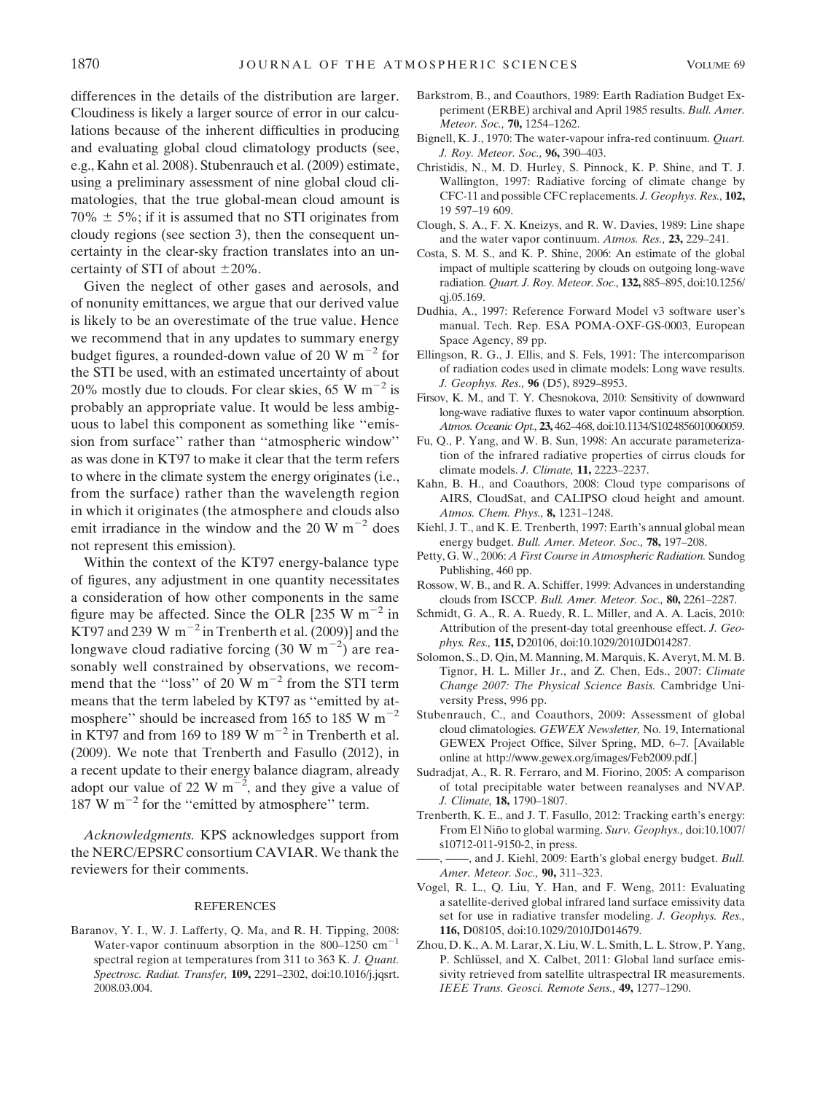differences in the details of the distribution are larger. Cloudiness is likely a larger source of error in our calculations because of the inherent difficulties in producing and evaluating global cloud climatology products (see, e.g., Kahn et al. 2008). Stubenrauch et al. (2009) estimate, using a preliminary assessment of nine global cloud climatologies, that the true global-mean cloud amount is 70%  $\pm$  5%; if it is assumed that no STI originates from cloudy regions (see section 3), then the consequent uncertainty in the clear-sky fraction translates into an uncertainty of STI of about  $\pm 20\%$ .

Given the neglect of other gases and aerosols, and of nonunity emittances, we argue that our derived value is likely to be an overestimate of the true value. Hence we recommend that in any updates to summary energy budget figures, a rounded-down value of 20 W  $\text{m}^{-2}$  for the STI be used, with an estimated uncertainty of about 20% mostly due to clouds. For clear skies, 65 W  $\text{m}^{-2}$  is probably an appropriate value. It would be less ambiguous to label this component as something like ''emission from surface'' rather than ''atmospheric window'' as was done in KT97 to make it clear that the term refers to where in the climate system the energy originates (i.e., from the surface) rather than the wavelength region in which it originates (the atmosphere and clouds also emit irradiance in the window and the 20 W  $\text{m}^{-2}$  does not represent this emission).

Within the context of the KT97 energy-balance type of figures, any adjustment in one quantity necessitates a consideration of how other components in the same figure may be affected. Since the OLR  $[235 \text{ W m}^{-2} \text{ in}$ KT97 and 239 W  $m^{-2}$  in Trenberth et al. (2009)] and the longwave cloud radiative forcing  $(30 \text{ W m}^{-2})$  are reasonably well constrained by observations, we recommend that the "loss" of 20 W  $m^{-2}$  from the STI term means that the term labeled by KT97 as ''emitted by atmosphere'' should be increased from 165 to 185 W  $m^{-2}$ in KT97 and from 169 to 189 W  $m^{-2}$  in Trenberth et al. (2009). We note that Trenberth and Fasullo (2012), in a recent update to their energy balance diagram, already adopt our value of 22 W  $m^{-2}$ , and they give a value of 187 W  $m^{-2}$  for the "emitted by atmosphere" term.

Acknowledgments. KPS acknowledges support from the NERC/EPSRC consortium CAVIAR. We thank the reviewers for their comments.

#### **REFERENCES**

Baranov, Y. I., W. J. Lafferty, Q. Ma, and R. H. Tipping, 2008: Water-vapor continuum absorption in the 800–1250  $cm^{-1}$ spectral region at temperatures from 311 to 363 K. J. Quant. Spectrosc. Radiat. Transfer, 109, 2291–2302, doi:10.1016/j.jqsrt. 2008.03.004.

- Barkstrom, B., and Coauthors, 1989: Earth Radiation Budget Experiment (ERBE) archival and April 1985 results. Bull. Amer. Meteor. Soc., 70, 1254-1262.
- Bignell, K. J., 1970: The water-vapour infra-red continuum. Quart. J. Roy. Meteor. Soc., 96, 390–403.
- Christidis, N., M. D. Hurley, S. Pinnock, K. P. Shine, and T. J. Wallington, 1997: Radiative forcing of climate change by CFC-11 and possible CFC replacements. J. Geophys. Res., 102, 19 597–19 609.
- Clough, S. A., F. X. Kneizys, and R. W. Davies, 1989: Line shape and the water vapor continuum. Atmos. Res., 23, 229–241.
- Costa, S. M. S., and K. P. Shine, 2006: An estimate of the global impact of multiple scattering by clouds on outgoing long-wave radiation. Quart. J. Roy. Meteor. Soc., 132, 885–895, doi:10.1256/ qj.05.169.
- Dudhia, A., 1997: Reference Forward Model v3 software user's manual. Tech. Rep. ESA POMA-OXF-GS-0003, European Space Agency, 89 pp.
- Ellingson, R. G., J. Ellis, and S. Fels, 1991: The intercomparison of radiation codes used in climate models: Long wave results. J. Geophys. Res., 96 (D5), 8929–8953.
- Firsov, K. M., and T. Y. Chesnokova, 2010: Sensitivity of downward long-wave radiative fluxes to water vapor continuum absorption. Atmos. Oceanic Opt., 23, 462–468, doi:10.1134/S1024856010060059.
- Fu, Q., P. Yang, and W. B. Sun, 1998: An accurate parameterization of the infrared radiative properties of cirrus clouds for climate models. J. Climate, 11, 2223–2237.
- Kahn, B. H., and Coauthors, 2008: Cloud type comparisons of AIRS, CloudSat, and CALIPSO cloud height and amount. Atmos. Chem. Phys., 8, 1231–1248.
- Kiehl, J. T., and K. E. Trenberth, 1997: Earth's annual global mean energy budget. Bull. Amer. Meteor. Soc., 78, 197–208.
- Petty, G. W., 2006: A First Course in Atmospheric Radiation. Sundog Publishing, 460 pp.
- Rossow, W. B., and R. A. Schiffer, 1999: Advances in understanding clouds from ISCCP. Bull. Amer. Meteor. Soc., 80, 2261–2287.
- Schmidt, G. A., R. A. Ruedy, R. L. Miller, and A. A. Lacis, 2010: Attribution of the present-day total greenhouse effect. J. Geophys. Res., 115, D20106, doi:10.1029/2010JD014287.
- Solomon, S., D. Qin, M. Manning, M. Marquis, K. Averyt, M. M. B. Tignor, H. L. Miller Jr., and Z. Chen, Eds., 2007: Climate Change 2007: The Physical Science Basis. Cambridge University Press, 996 pp.
- Stubenrauch, C., and Coauthors, 2009: Assessment of global cloud climatologies. GEWEX Newsletter, No. 19, International GEWEX Project Office, Silver Spring, MD, 6–7. [Available online at http://www.gewex.org/images/Feb2009.pdf.]
- Sudradjat, A., R. R. Ferraro, and M. Fiorino, 2005: A comparison of total precipitable water between reanalyses and NVAP. J. Climate, 18, 1790–1807.
- Trenberth, K. E., and J. T. Fasullo, 2012: Tracking earth's energy: From El Niño to global warming. Surv. Geophys., doi:10.1007/ s10712-011-9150-2, in press.
- -, and J. Kiehl, 2009: Earth's global energy budget. Bull. Amer. Meteor. Soc., 90, 311–323.
- Vogel, R. L., Q. Liu, Y. Han, and F. Weng, 2011: Evaluating a satellite-derived global infrared land surface emissivity data set for use in radiative transfer modeling. J. Geophys. Res., 116, D08105, doi:10.1029/2010JD014679.
- Zhou, D. K., A. M. Larar, X. Liu, W. L. Smith, L. L. Strow, P. Yang, P. Schlüssel, and X. Calbet, 2011: Global land surface emissivity retrieved from satellite ultraspectral IR measurements. IEEE Trans. Geosci. Remote Sens., 49, 1277–1290.